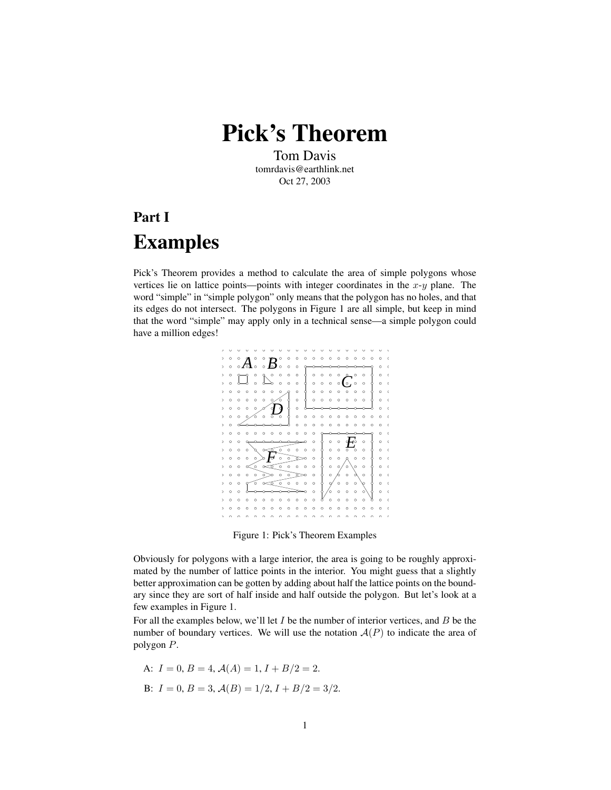Pick's Theorem

Tom Davis tomrdavis@earthlink.net Oct 27, 2003

## Part I Examples

Pick's Theorem provides a method to calculate the area of simple polygons whose vertices lie on lattice points—points with integer coordinates in the  $x-y$  plane. The word "simple" in "simple polygon" only means that the polygon has no holes, and that its edges do not intersect. The polygons in Figure 1 are all simple, but keep in mind that the word "simple" may apply only in a technical sense—a simple polygon could have a million edges!



Figure 1: Pick's Theorem Examples

Obviously for polygons with a large interior, the area is going to be roughly approximated by the number of lattice points in the interior. You might guess that a slightly better approximation can be gotten by adding about half the lattice points on the boundary since they are sort of half inside and half outside the polygon. But let's look at a few examples in Figure 1.

For all the examples below, we'll let  $I$  be the number of interior vertices, and  $B$  be the number of boundary vertices. We will use the notation  $A(P)$  to indicate the area of polygon P.

A: 
$$
I = 0
$$
,  $B = 4$ ,  $\mathcal{A}(A) = 1$ ,  $I + B/2 = 2$ .  
B:  $I = 0$ ,  $B = 3$ ,  $\mathcal{A}(B) = 1/2$ ,  $I + B/2 = 3/2$ .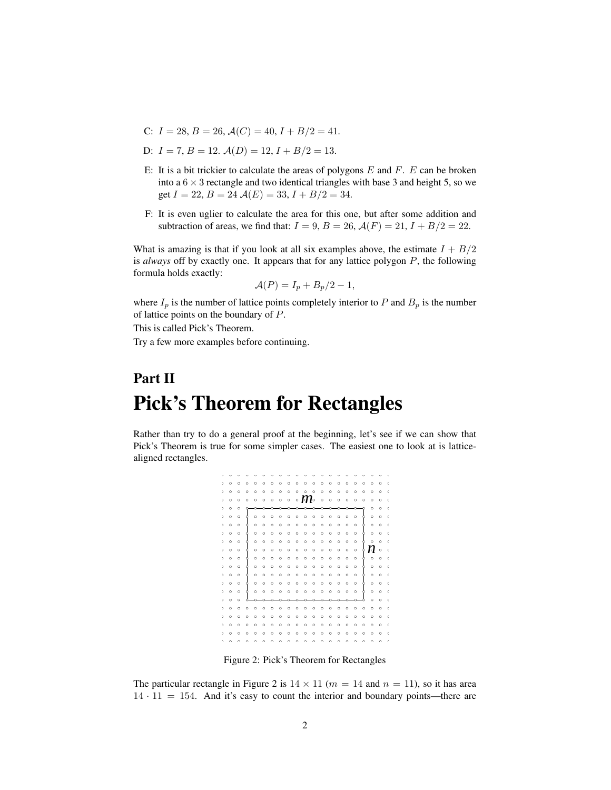- C:  $I = 28$ ,  $B = 26$ ,  $\mathcal{A}(C) = 40$ ,  $I + B/2 = 41$ .
- D:  $I = 7, B = 12, \mathcal{A}(D) = 12, I + B/2 = 13.$
- E: It is a bit trickier to calculate the areas of polygons  $E$  and  $F$ .  $E$  can be broken into a  $6 \times 3$  rectangle and two identical triangles with base 3 and height 5, so we get  $I = 22$ ,  $B = 24$   $\mathcal{A}(E) = 33$ ,  $I + B/2 = 34$ .
- F: It is even uglier to calculate the area for this one, but after some addition and subtraction of areas, we find that:  $I = 9$ ,  $B = 26$ ,  $\mathcal{A}(F) = 21$ ,  $I + B/2 = 22$ .

What is amazing is that if you look at all six examples above, the estimate  $I + B/2$ is *always* off by exactly one. It appears that for any lattice polygon P, the following formula holds exactly:

$$
\mathcal{A}(P) = I_p + B_p/2 - 1,
$$

where  $I_p$  is the number of lattice points completely interior to P and  $B_p$  is the number of lattice points on the boundary of P.

This is called Pick's Theorem.

Try a few more examples before continuing.

## Part II Pick's Theorem for Rectangles

Rather than try to do a general proof at the beginning, let's see if we can show that Pick's Theorem is true for some simpler cases. The easiest one to look at is latticealigned rectangles.



Figure 2: Pick's Theorem for Rectangles

The particular rectangle in Figure 2 is  $14 \times 11$  ( $m = 14$  and  $n = 11$ ), so it has area  $14 \cdot 11 = 154$ . And it's easy to count the interior and boundary points—there are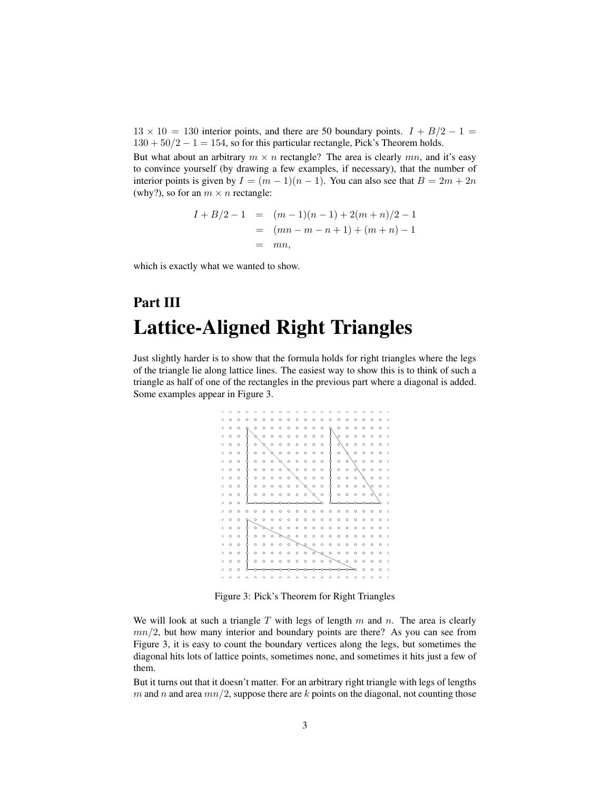$13 \times 10 = 130$  interior points, and there are 50 boundary points.  $I + B/2 - 1 =$  $130 + 50/2 - 1 = 154$ , so for this particular rectangle, Pick's Theorem holds.

But what about an arbitrary  $m \times n$  rectangle? The area is clearly  $mn$ , and it's easy to convince yourself (by drawing a few examples, if necessary), that the number of interior points is given by  $I = (m - 1)(n - 1)$ . You can also see that  $B = 2m + 2n$ (why?), so for an  $m \times n$  rectangle:

$$
I + B/2 - 1 = (m - 1)(n - 1) + 2(m + n)/2 - 1
$$
  
=  $(mn - m - n + 1) + (m + n) - 1$   
=  $mn$ ,

which is exactly what we wanted to show.

## Part III Lattice-Aligned Right Triangles

Just slightly harder is to show that the formula holds for right triangles where the legs of the triangle lie along lattice lines. The easiest way to show this is to think of such a triangle as half of one of the rectangles in the previous part where a diagonal is added. Some examples appear in Figure 3.



Figure 3: Pick's Theorem for Right Triangles

We will look at such a triangle  $T$  with legs of length  $m$  and  $n$ . The area is clearly  $mn/2$ , but how many interior and boundary points are there? As you can see from Figure 3, it is easy to count the boundary vertices along the legs, but sometimes the diagonal hits lots of lattice points, sometimes none, and sometimes it hits just a few of them.

But it turns out that it doesn't matter. For an arbitrary right triangle with legs of lengths m and n and area  $mn/2$ , suppose there are k points on the diagonal, not counting those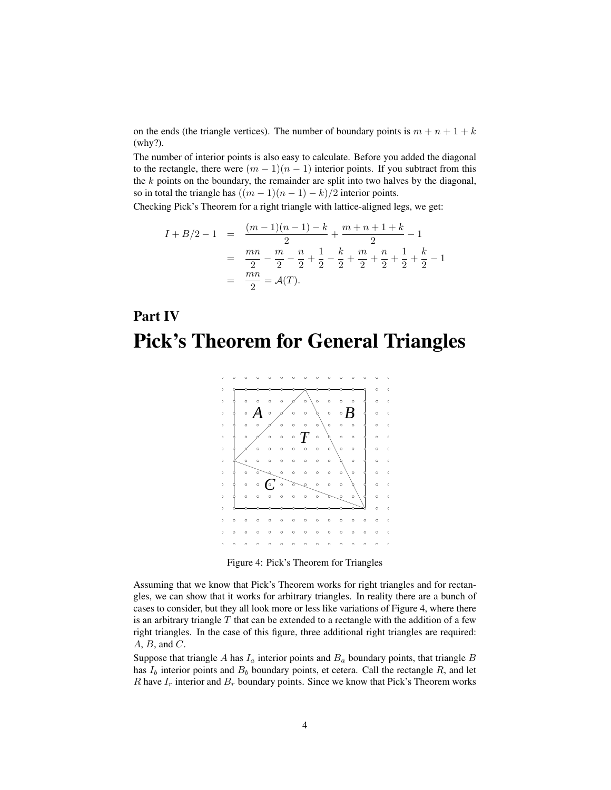on the ends (the triangle vertices). The number of boundary points is  $m + n + 1 + k$ (why?).

The number of interior points is also easy to calculate. Before you added the diagonal to the rectangle, there were  $(m - 1)(n - 1)$  interior points. If you subtract from this the  $k$  points on the boundary, the remainder are split into two halves by the diagonal, so in total the triangle has  $((m-1)(n-1)-k)/2$  interior points.

Checking Pick's Theorem for a right triangle with lattice-aligned legs, we get:

$$
I + B/2 - 1 = \frac{(m-1)(n-1) - k}{2} + \frac{m+n+1+k}{2} - 1
$$
  
=  $\frac{mn}{2} - \frac{m}{2} - \frac{n}{2} + \frac{1}{2} - \frac{k}{2} + \frac{m}{2} + \frac{n}{2} + \frac{1}{2} + \frac{k}{2} - 1$   
=  $\frac{mn}{2} = \mathcal{A}(T).$ 

## Part IV Pick's Theorem for General Triangles



Figure 4: Pick's Theorem for Triangles

Assuming that we know that Pick's Theorem works for right triangles and for rectangles, we can show that it works for arbitrary triangles. In reality there are a bunch of cases to consider, but they all look more or less like variations of Figure 4, where there is an arbitrary triangle  $T$  that can be extended to a rectangle with the addition of a few right triangles. In the case of this figure, three additional right triangles are required:  $A, B,$  and  $C$ .

Suppose that triangle A has  $I_a$  interior points and  $B_a$  boundary points, that triangle B has  $I_b$  interior points and  $B_b$  boundary points, et cetera. Call the rectangle R, and let R have  $I_r$  interior and  $B_r$  boundary points. Since we know that Pick's Theorem works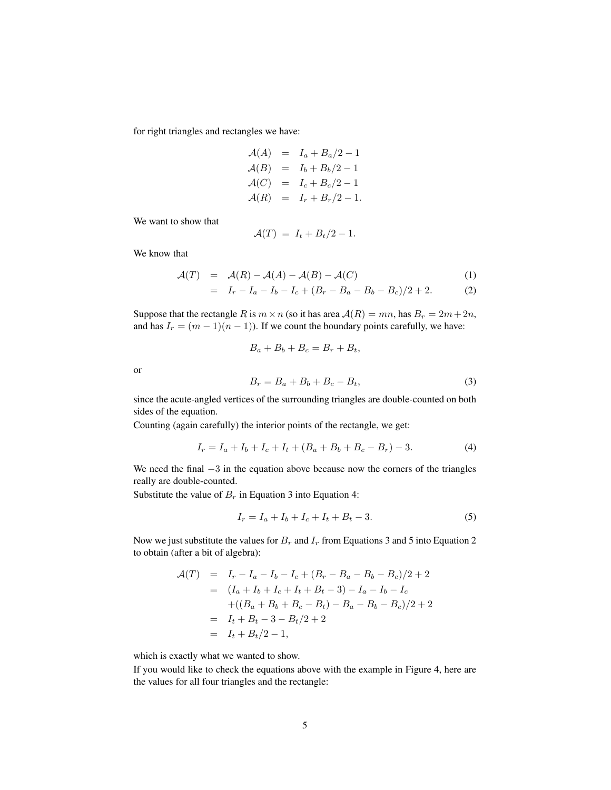for right triangles and rectangles we have:

$$
\begin{aligned}\n\mathcal{A}(A) &= I_a + B_a/2 - 1 \\
\mathcal{A}(B) &= I_b + B_b/2 - 1 \\
\mathcal{A}(C) &= I_c + B_c/2 - 1 \\
\mathcal{A}(R) &= I_r + B_r/2 - 1.\n\end{aligned}
$$

We want to show that

$$
\mathcal{A}(T) = I_t + B_t/2 - 1.
$$

We know that

$$
\mathcal{A}(T) = \mathcal{A}(R) - \mathcal{A}(A) - \mathcal{A}(B) - \mathcal{A}(C) \tag{1}
$$

$$
= I_r - I_a - I_b - I_c + (B_r - B_a - B_b - B_c)/2 + 2. \tag{2}
$$

Suppose that the rectangle R is  $m \times n$  (so it has area  $A(R) = mn$ , has  $B_r = 2m + 2n$ , and has  $I_r = (m-1)(n-1)$ . If we count the boundary points carefully, we have:

$$
B_a + B_b + B_c = B_r + B_t,
$$
  
\n
$$
B_r = B_a + B_b + B_c - B_t,
$$
\n(3)

or

since the acute-angled vertices of the surrounding triangles are double-counted on both sides of the equation.

Counting (again carefully) the interior points of the rectangle, we get:

$$
I_r = I_a + I_b + I_c + I_t + (B_a + B_b + B_c - B_r) - 3.
$$
\n(4)

We need the final  $-3$  in the equation above because now the corners of the triangles really are double-counted.

Substitute the value of  $B_r$  in Equation 3 into Equation 4:

$$
I_r = I_a + I_b + I_c + I_t + B_t - 3.
$$
\n(5)

Now we just substitute the values for  $B_r$  and  $I_r$  from Equations 3 and 5 into Equation 2 to obtain (after a bit of algebra):

$$
\begin{aligned}\n\mathcal{A}(T) &= I_r - I_a - I_b - I_c + (B_r - B_a - B_b - B_c)/2 + 2 \\
&= (I_a + I_b + I_c + I_t + B_t - 3) - I_a - I_b - I_c \\
&\quad + ((B_a + B_b + B_c - B_t) - B_a - B_b - B_c)/2 + 2 \\
&= I_t + B_t - 3 - B_t/2 + 2 \\
&= I_t + B_t/2 - 1,\n\end{aligned}
$$

which is exactly what we wanted to show.

If you would like to check the equations above with the example in Figure 4, here are the values for all four triangles and the rectangle: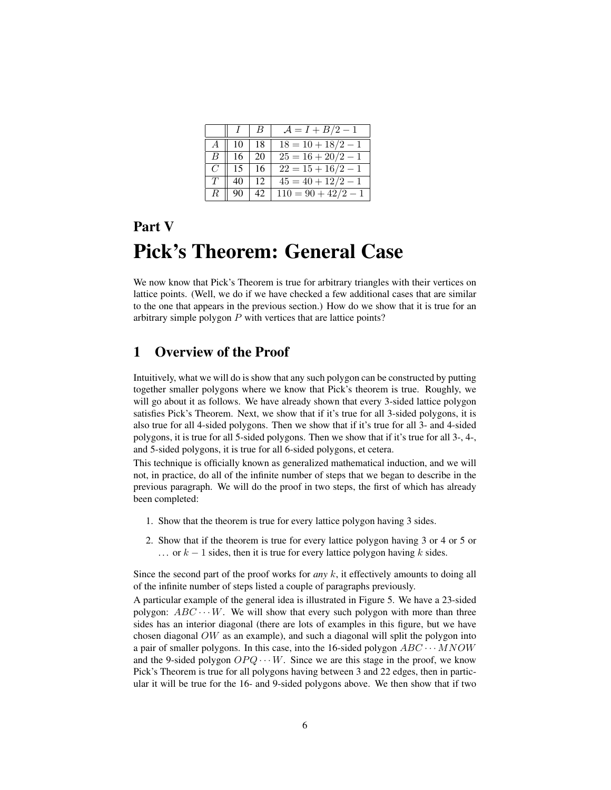|        |     | B   | $A = I + B/2 - 1$     |
|--------|-----|-----|-----------------------|
|        | 10  | -18 | $18 = 10 + 18/2 - 1$  |
| B.     | 16  | 20  | $25 = 16 + 20/2 - 1$  |
| $C^-$  | 15  | 16  | $22 = 15 + 16/2 - 1$  |
| T      | 40  | -12 | $45 = 40 + 12/2 - 1$  |
| $R$ 11 | -90 | 42. | $110 = 90 + 42/2 - 1$ |

## Part V Pick's Theorem: General Case

We now know that Pick's Theorem is true for arbitrary triangles with their vertices on lattice points. (Well, we do if we have checked a few additional cases that are similar to the one that appears in the previous section.) How do we show that it is true for an arbitrary simple polygon P with vertices that are lattice points?

#### 1 Overview of the Proof

Intuitively, what we will do is show that any such polygon can be constructed by putting together smaller polygons where we know that Pick's theorem is true. Roughly, we will go about it as follows. We have already shown that every 3-sided lattice polygon satisfies Pick's Theorem. Next, we show that if it's true for all 3-sided polygons, it is also true for all 4-sided polygons. Then we show that if it's true for all 3- and 4-sided polygons, it is true for all 5-sided polygons. Then we show that if it's true for all 3-, 4-, and 5-sided polygons, it is true for all 6-sided polygons, et cetera.

This technique is officially known as generalized mathematical induction, and we will not, in practice, do all of the infinite number of steps that we began to describe in the previous paragraph. We will do the proof in two steps, the first of which has already been completed:

- 1. Show that the theorem is true for every lattice polygon having 3 sides.
- 2. Show that if the theorem is true for every lattice polygon having 3 or 4 or 5 or  $\ldots$  or  $k-1$  sides, then it is true for every lattice polygon having k sides.

Since the second part of the proof works for *any* k, it effectively amounts to doing all of the infinite number of steps listed a couple of paragraphs previously.

A particular example of the general idea is illustrated in Figure 5. We have a 23-sided polygon:  $ABC \cdots W$ . We will show that every such polygon with more than three sides has an interior diagonal (there are lots of examples in this figure, but we have chosen diagonal OW as an example), and such a diagonal will split the polygon into a pair of smaller polygons. In this case, into the 16-sided polygon  $ABC \cdots MNOW$ and the 9-sided polygon  $OPQ \cdots W$ . Since we are this stage in the proof, we know Pick's Theorem is true for all polygons having between 3 and 22 edges, then in particular it will be true for the 16- and 9-sided polygons above. We then show that if two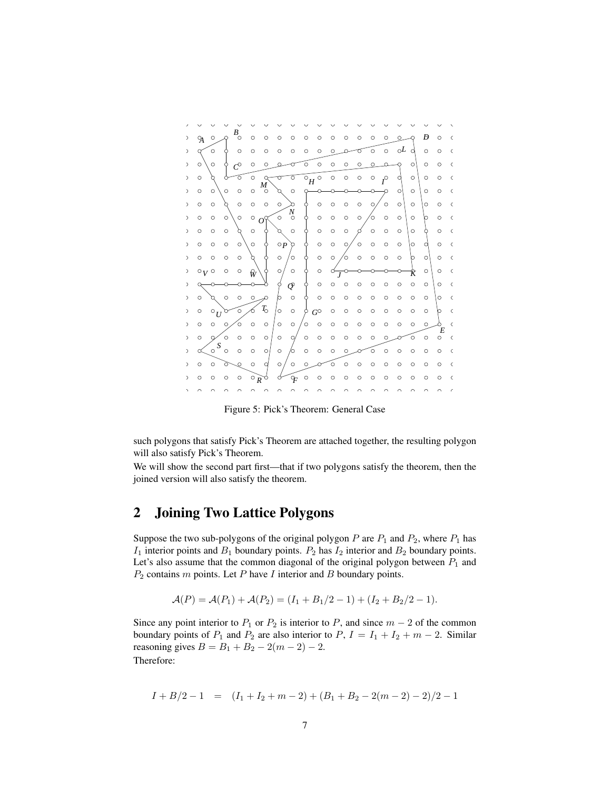

Figure 5: Pick's Theorem: General Case

such polygons that satisfy Pick's Theorem are attached together, the resulting polygon will also satisfy Pick's Theorem.

We will show the second part first—that if two polygons satisfy the theorem, then the joined version will also satisfy the theorem.

### 2 Joining Two Lattice Polygons

Suppose the two sub-polygons of the original polygon  $P$  are  $P_1$  and  $P_2$ , where  $P_1$  has  $I_1$  interior points and  $B_1$  boundary points.  $P_2$  has  $I_2$  interior and  $B_2$  boundary points. Let's also assume that the common diagonal of the original polygon between  $P_1$  and  $P_2$  contains  $m$  points. Let  $P$  have  $I$  interior and  $B$  boundary points.

$$
\mathcal{A}(P) = \mathcal{A}(P_1) + \mathcal{A}(P_2) = (I_1 + B_1/2 - 1) + (I_2 + B_2/2 - 1).
$$

Since any point interior to  $P_1$  or  $P_2$  is interior to P, and since  $m - 2$  of the common boundary points of  $P_1$  and  $P_2$  are also interior to  $P$ ,  $I = I_1 + I_2 + m - 2$ . Similar reasoning gives  $B = B_1 + B_2 - 2(m - 2) - 2$ . Therefore:

$$
I + B/2 - 1 = (I_1 + I_2 + m - 2) + (B_1 + B_2 - 2(m - 2) - 2)/2 - 1
$$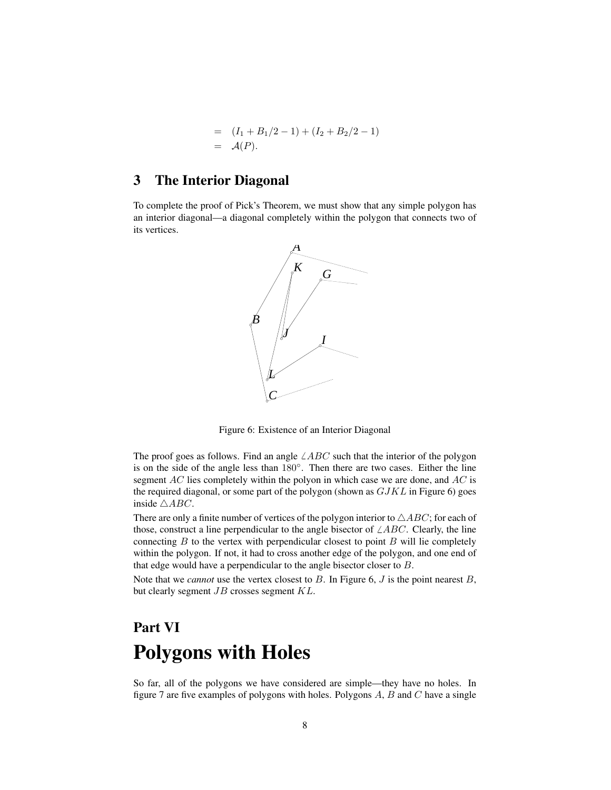$$
= (I_1 + B_1/2 - 1) + (I_2 + B_2/2 - 1)
$$
  
=  $A(P)$ .

#### 3 The Interior Diagonal

To complete the proof of Pick's Theorem, we must show that any simple polygon has an interior diagonal—a diagonal completely within the polygon that connects two of its vertices.



Figure 6: Existence of an Interior Diagonal

The proof goes as follows. Find an angle  $\angle ABC$  such that the interior of the polygon is on the side of the angle less than 180◦ . Then there are two cases. Either the line segment AC lies completely within the polyon in which case we are done, and AC is the required diagonal, or some part of the polygon (shown as  $GJKL$  in Figure 6) goes inside  $\triangle ABC$ .

There are only a finite number of vertices of the polygon interior to  $\triangle ABC$ ; for each of those, construct a line perpendicular to the angle bisector of  $\angle ABC$ . Clearly, the line connecting  $B$  to the vertex with perpendicular closest to point  $B$  will lie completely within the polygon. If not, it had to cross another edge of the polygon, and one end of that edge would have a perpendicular to the angle bisector closer to B.

Note that we *cannot* use the vertex closest to B. In Figure 6, J is the point nearest B, but clearly segment JB crosses segment KL.

# Part VI Polygons with Holes

So far, all of the polygons we have considered are simple—they have no holes. In figure 7 are five examples of polygons with holes. Polygons  $A, B$  and  $C$  have a single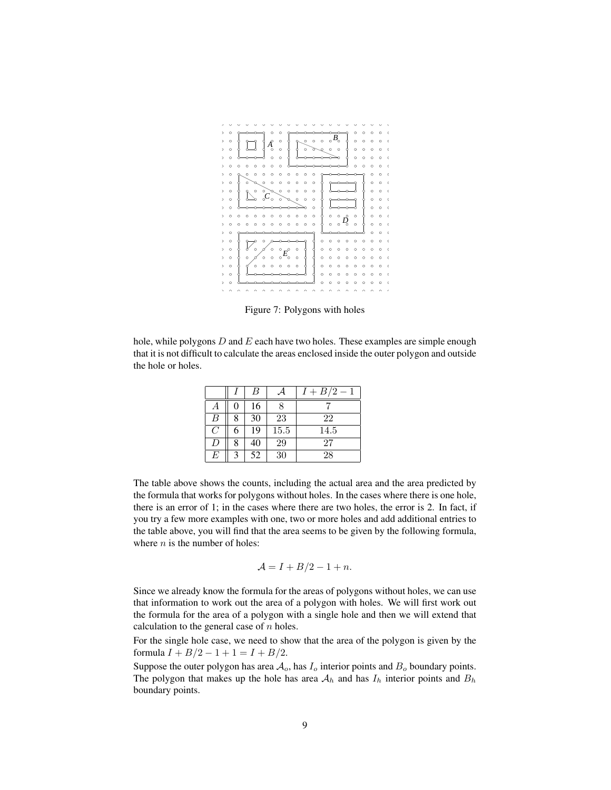

Figure 7: Polygons with holes

hole, while polygons  $D$  and  $E$  each have two holes. These examples are simple enough that it is not difficult to calculate the areas enclosed inside the outer polygon and outside the hole or holes.

|   |   | B  |      | $I + B/2 - 1$ |
|---|---|----|------|---------------|
|   |   | 16 |      |               |
| B |   | 30 | 23   | 22            |
| C | 6 | 19 | 15.5 | 14.5          |
| D | 8 | 40 | 29   | 27            |
| E |   | 52 | 30   | 28            |

The table above shows the counts, including the actual area and the area predicted by the formula that works for polygons without holes. In the cases where there is one hole, there is an error of 1; in the cases where there are two holes, the error is 2. In fact, if you try a few more examples with one, two or more holes and add additional entries to the table above, you will find that the area seems to be given by the following formula, where  $n$  is the number of holes:

$$
\mathcal{A} = I + B/2 - 1 + n.
$$

Since we already know the formula for the areas of polygons without holes, we can use that information to work out the area of a polygon with holes. We will first work out the formula for the area of a polygon with a single hole and then we will extend that calculation to the general case of  $n$  holes.

For the single hole case, we need to show that the area of the polygon is given by the formula  $I + B/2 - 1 + 1 = I + B/2$ .

Suppose the outer polygon has area  $A_o$ , has  $I_o$  interior points and  $B_o$  boundary points. The polygon that makes up the hole has area  $A_h$  and has  $I_h$  interior points and  $B_h$ boundary points.